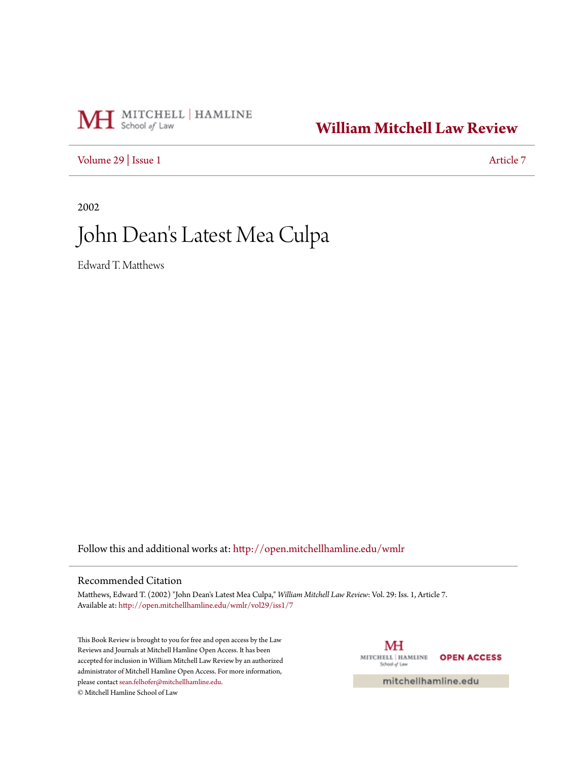## MH School of Law

### **[William Mitchell Law Review](http://open.mitchellhamline.edu/wmlr?utm_source=open.mitchellhamline.edu%2Fwmlr%2Fvol29%2Fiss1%2F7&utm_medium=PDF&utm_campaign=PDFCoverPages)**

[Volume 29](http://open.mitchellhamline.edu/wmlr/vol29?utm_source=open.mitchellhamline.edu%2Fwmlr%2Fvol29%2Fiss1%2F7&utm_medium=PDF&utm_campaign=PDFCoverPages) | [Issue 1](http://open.mitchellhamline.edu/wmlr/vol29/iss1?utm_source=open.mitchellhamline.edu%2Fwmlr%2Fvol29%2Fiss1%2F7&utm_medium=PDF&utm_campaign=PDFCoverPages) [Article 7](http://open.mitchellhamline.edu/wmlr/vol29/iss1/7?utm_source=open.mitchellhamline.edu%2Fwmlr%2Fvol29%2Fiss1%2F7&utm_medium=PDF&utm_campaign=PDFCoverPages)

2002

# John Dean 's Latest Mea Culpa

Edward T. Matthews

Follow this and additional works at: [http://open.mitchellhamline.edu/wmlr](http://open.mitchellhamline.edu/wmlr?utm_source=open.mitchellhamline.edu%2Fwmlr%2Fvol29%2Fiss1%2F7&utm_medium=PDF&utm_campaign=PDFCoverPages)

#### Recommended Citation

Matthews, Edward T. (2002) "John Dean's Latest Mea Culpa," *William Mitchell Law Review*: Vol. 29: Iss. 1, Article 7. Available at: [http://open.mitchellhamline.edu/wmlr/vol29/iss1/7](http://open.mitchellhamline.edu/wmlr/vol29/iss1/7?utm_source=open.mitchellhamline.edu%2Fwmlr%2Fvol29%2Fiss1%2F7&utm_medium=PDF&utm_campaign=PDFCoverPages)

This Book Review is brought to you for free and open access by the Law Reviews and Journals at Mitchell Hamline Open Access. It has been accepted for inclusion in William Mitchell Law Review by an authorized administrator of Mitchell Hamline Open Access. For more information, please contact [sean.felhofer@mitchellhamline.edu.](mailto:sean.felhofer@mitchellhamline.edu) © Mitchell Hamline School of Law

MH MITCHELL | HAMLINE **OPEN ACCESS** School of Law

mitchellhamline.edu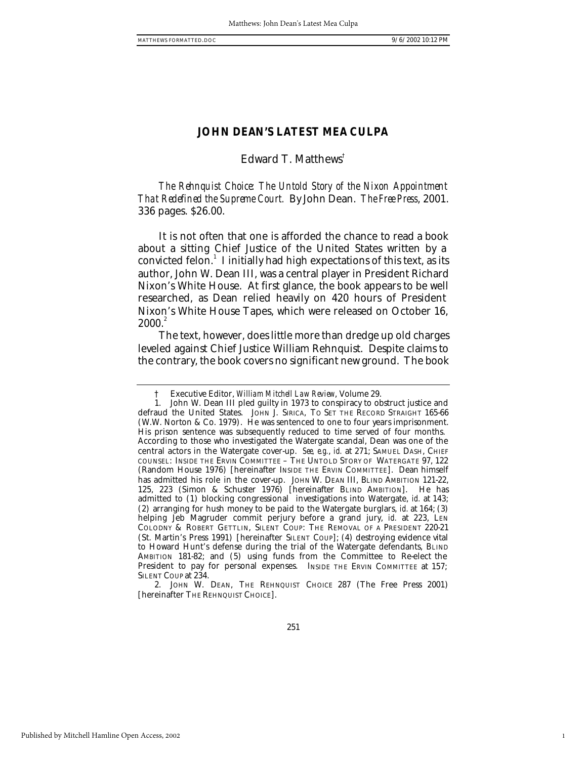1

#### **JOHN DEAN'S LATEST MEA CULPA**

#### Edward T. Matthews†

*The Rehnquist Choice: The Untold Story of the Nixon Appointment That Redefined the Supreme Court.* By John Dean. *The Free Press*, 2001. 336 pages. \$26.00.

It is not often that one is afforded the chance to read a book about a sitting Chief Justice of the United States written by a convicted felon. $^1$  I initially had high expectations of this text, as its author, John W. Dean III, was a central player in President Richard Nixon's White House. At first glance, the book appears to be well researched, as Dean relied heavily on 420 hours of President Nixon's White House Tapes, which were released on October 16,  $2000.<sup>2</sup>$ 

The text, however, does little more than dredge up old charges leveled against Chief Justice William Rehnquist. Despite claims to the contrary, the book covers no significant new ground. The book

2. JOHN W. DEAN, THE REHNQUIST CHOICE 287 (The Free Press 2001) [hereinafter THE REHNQUIST CHOICE].

<sup>†</sup> Executive Editor, *William Mitchell Law Review*, Volume 29.

<sup>1.</sup> John W. Dean III pled guilty in 1973 to conspiracy to obstruct justice and defraud the United States. JOHN J. SIRICA, TO SET THE RECORD STRAIGHT 165-66 (W.W. Norton & Co. 1979). He was sentenced to one to four years imprisonment. His prison sentence was subsequently reduced to time served of four months. According to those who investigated the Watergate scandal, Dean was one of the central actors in the Watergate cover-up. *See, e.g.*, *id.* at 271; SAMUEL DASH, CHIEF COUNSEL: INSIDE THE ERVIN COMMITTEE – THE UNTOLD STORY OF WATERGATE 97, 122 (Random House 1976) [hereinafter INSIDE THE ERVIN COMMITTEE]. Dean himself has admitted his role in the cover-up. JOHN W. DEAN III, BLIND AMBITION 121-22, 125, 223 (Simon & Schuster 1976) [hereinafter BLIND AMBITION]. He has admitted to (1) blocking congressional investigations into Watergate, *id.* at 143; (2) arranging for hush money to be paid to the Watergate burglars, *id.* at 164; (3) helping Jeb Magruder commit perjury before a grand jury, *id.* at 223, LEN COLODNY & ROBERT GETTLIN, SILENT COUP: THE REMOVAL OF A PRESIDENT 220-21 (St. Martin's Press 1991) [hereinafter SILENT COUP]; (4) destroying evidence vital to Howard Hunt's defense during the trial of the Watergate defendants, BLIND AMBITION 181-82; and (5) using funds from the Committee to Re-elect the President to pay for personal expenses. INSIDE THE ERVIN COMMITTEE at 157; SILENT COUP at 234.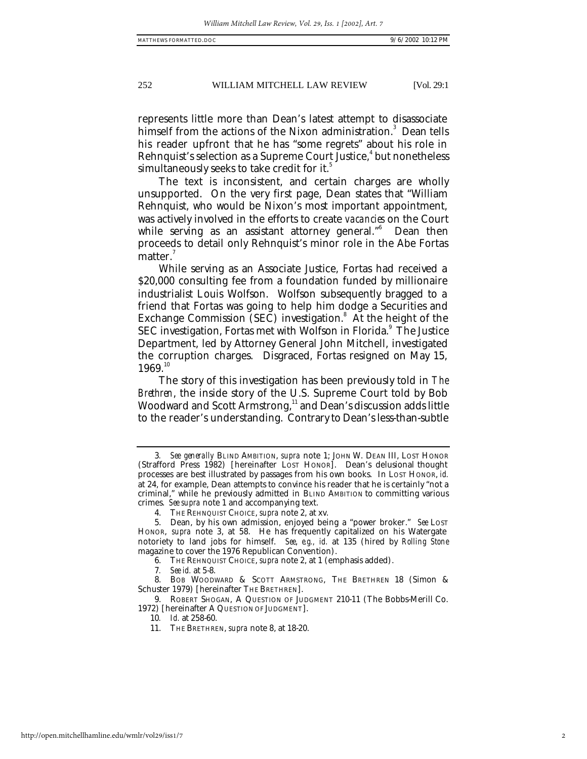252 WILLIAM MITCHELL LAW REVIEW [Vol. 29:1

represents little more than Dean's latest attempt to disassociate himself from the actions of the Nixon administration.<sup>3</sup> Dean tells his reader upfront that he has "some regrets" about his role in Rehnquist's selection as a Supreme Court Justice,<sup>4</sup> but nonetheless simultaneously seeks to take credit for it.<sup>5</sup>

The text is inconsistent, and certain charges are wholly unsupported. On the very first page, Dean states that "William Rehnquist, who would be Nixon's most important appointment, was actively involved in the efforts to create *vacancies* on the Court while serving as an assistant attorney general."<sup>6</sup> Dean then proceeds to detail only Rehnquist's minor role in the Abe Fortas matter.

While serving as an Associate Justice, Fortas had received a \$20,000 consulting fee from a foundation funded by millionaire industrialist Louis Wolfson. Wolfson subsequently bragged to a friend that Fortas was going to help him dodge a Securities and Exchange Commission (SEC) investigation.<sup>8</sup> At the height of the SEC investigation, Fortas met with Wolfson in Florida. $^{\circ}$  The Justice Department, led by Attorney General John Mitchell, investigated the corruption charges. Disgraced, Fortas resigned on May 15,  $1969.<sup>10</sup>$ 

The story of this investigation has been previously told in *The Brethren*, the inside story of the U.S. Supreme Court told by Bob Woodward and Scott Armstrong, $11$  and Dean's discussion adds little to the reader's understanding. Contrary to Dean's less-than-subtle

<sup>3</sup>*. See generally* BLIND AMBITION, *supra* note 1; JOHN W. DEAN III, LOST HONOR (Strafford Press 1982) [hereinafter LOST HONOR]. Dean's delusional thought processes are best illustrated by passages from his own books. In LOST HONOR, *id.* at 24, for example, Dean attempts to convince his reader that he is certainly "not a criminal," while he previously admitted in BLIND AMBITION to committing various crimes. *See supra* note 1 and accompanying text.

<sup>4.</sup> THE REHNQUIST CHOICE, *supra* note 2, at xv.

<sup>5.</sup> Dean, by his own admission, enjoyed being a "power broker." *See* LOST HONOR, *supra* note 3, at 58. He has frequently capitalized on his Watergate notoriety to land jobs for himself. *See*, *e.g., id.* at 135 (hired by *Rolling Stone* magazine to cover the 1976 Republican Convention).

<sup>6.</sup> THE REHNQUIST CHOICE, *supra* note 2, at 1 (emphasis added).

<sup>7</sup>*. See id.* at 5-8.

<sup>8.</sup> BOB WOODWARD & SCOTT ARMSTRONG, THE BRETHREN 18 (Simon & Schuster 1979) [hereinafter THE BRETHREN].

<sup>9.</sup> ROBERT SHOGAN, A QUESTION OF JUDGMENT 210-11 (The Bobbs-Merill Co. 1972) [hereinafter A QUESTION OF JUDGMENT].

<sup>10</sup>*. Id.* at 258-60.

<sup>11.</sup> THE BRETHREN, *supra* note 8, at 18-20.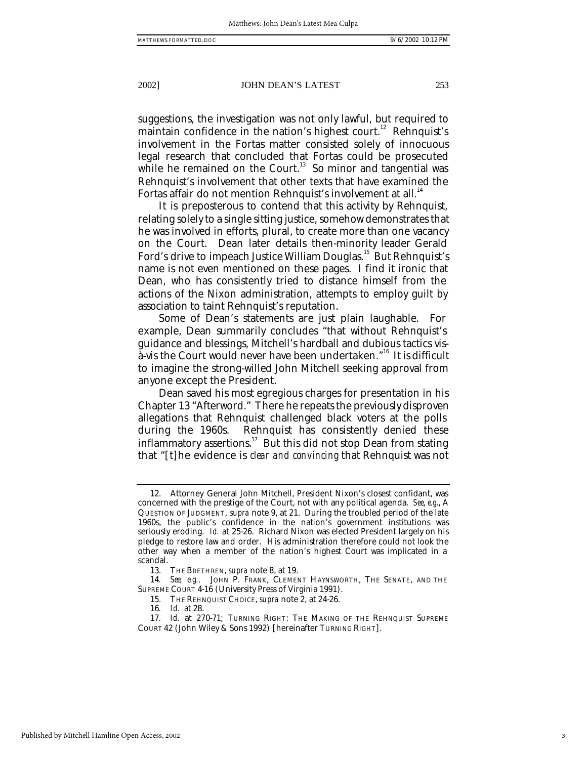#### 2002] JOHN DEAN'S LATEST 253

suggestions, the investigation was not only lawful, but required to maintain confidence in the nation's highest court.<sup>12</sup> Rehnquist's involvement in the Fortas matter consisted solely of innocuous legal research that concluded that Fortas could be prosecuted while he remained on the Court. $13$  So minor and tangential was Rehnquist's involvement that other texts that have examined the Fortas affair do not mention Rehnquist's involvement at all.<sup>14</sup>

It is preposterous to contend that this activity by Rehnquist, relating solely to a single sitting justice, somehow demonstrates that he was involved in efforts, plural, to create more than one vacancy on the Court. Dean later details then-minority leader Gerald Ford's drive to impeach Justice William Douglas.<sup>15</sup> But Rehnquist's name is not even mentioned on these pages. I find it ironic that Dean, who has consistently tried to distance himself from the actions of the Nixon administration, attempts to employ guilt by association to taint Rehnquist's reputation.

Some of Dean's statements are just plain laughable. For example, Dean summarily concludes "that without Rehnquist's guidance and blessings, Mitchell's hardball and dubious tactics visà-vis the Court would never have been undertaken."<sup>16</sup> It is difficult to imagine the strong-willed John Mitchell seeking approval from anyone except the President.

Dean saved his most egregious charges for presentation in his Chapter 13 "Afterword." There he repeats the previously disproven allegations that Rehnquist challenged black voters at the polls during the 1960s. Rehnquist has consistently denied these inflammatory assertions.<sup>17</sup> But this did not stop Dean from stating that "[t]he evidence is *clear and convincing* that Rehnquist was not

<sup>12.</sup> Attorney General John Mitchell, President Nixon's closest confidant, was concerned with the prestige of the Court, not with any political agenda. *See*, *e.g*., A QUESTION OF JUDGMENT, *supra* note 9, at 21. During the troubled period of the late 1960s, the public's confidence in the nation's government institutions was seriously eroding. *Id.* at 25-26. Richard Nixon was elected President largely on his pledge to restore law and order. His administration therefore could not look the other way when a member of the nation's highest Court was implicated in a scandal.

<sup>13.</sup> THE BRETHREN, *supra* note 8, at 19.

<sup>14.</sup> *See, e.g.*, JOHN P. FRANK, CLEMENT HAYNSWORTH, THE SENATE, AND THE SUPREME COURT 4-16 (University Press of Virginia 1991).

<sup>15.</sup> THE REHNQUIST CHOICE, *supra* note 2, at 24-26.

<sup>16</sup>*. Id*. at 28.

<sup>17</sup>*. Id.* at 270-71; TURNING RIGHT: THE MAKING OF THE REHNQUIST SUPREME COURT 42 (John Wiley & Sons 1992) [hereinafter TURNING RIGHT].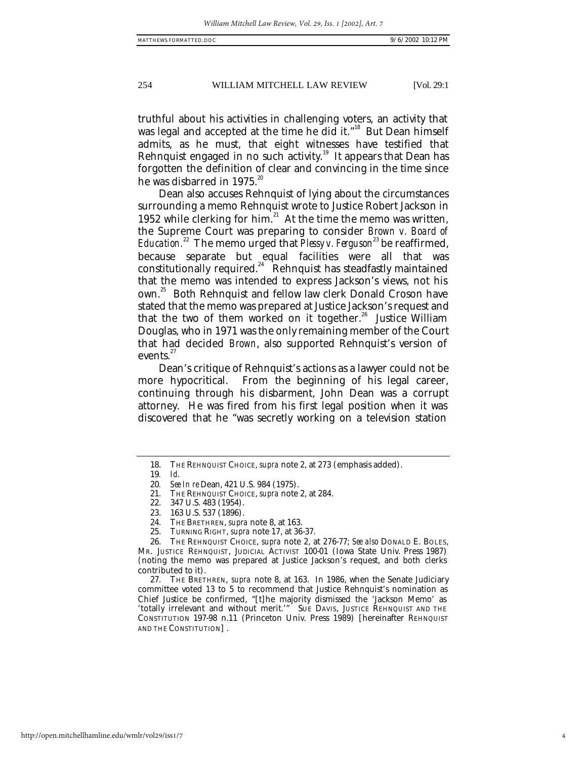### 254 WILLIAM MITCHELL LAW REVIEW [Vol. 29:1

truthful about his activities in challenging voters, an activity that was legal and accepted at the time he did it."<sup>18</sup> But Dean himself admits, as he must, that eight witnesses have testified that Rehnquist engaged in no such activity.<sup>19</sup> It appears that Dean has forgotten the definition of clear and convincing in the time since he was disbarred in 1975.<sup>20</sup>

Dean also accuses Rehnquist of lying about the circumstances surrounding a memo Rehnquist wrote to Justice Robert Jackson in 1952 while clerking for him. $21$  At the time the memo was written, the Supreme Court was preparing to consider *Brown v. Board of Education.*<sup>22</sup> The memo urged that *Plessy v. Ferguson*<sup>23</sup> be reaffirmed, because separate but equal facilities were all that was constitutionally required.<sup>24</sup> Rehnquist has steadfastly maintained that the memo was intended to express Jackson's views, not his own. <sup>25</sup> Both Rehnquist and fellow law clerk Donald Croson have stated that the memo was prepared at Justice Jackson's request and that the two of them worked on it together.<sup>26</sup> Justice William Douglas, who in 1971 was the only remaining member of the Court that had decided *Brown*, also supported Rehnquist's version of events.<sup>27</sup>

Dean's critique of Rehnquist's actions as a lawyer could not be more hypocritical. From the beginning of his legal career, continuing through his disbarment, John Dean was a corrupt attorney. He was fired from his first legal position when it was discovered that he "was secretly working on a television station

<sup>18.</sup> THE REHNQUIST CHOICE, *supra* note 2, at 273 (emphasis added).

<sup>19</sup>*. Id*.

<sup>20</sup>*. See In re* Dean, 421 U.S. 984 (1975).

<sup>21.</sup> THE REHNQUIST CHOICE, *supra* note 2, at 284.

<sup>22.</sup> 347 U.S. 483 (1954).

<sup>23.</sup> 163 U.S. 537 (1896).

<sup>24.</sup> THE BRETHREN, *supra* note 8, at 163.

<sup>25.</sup> TURNING RIGHT, *supra* note 17, at 36-37.

<sup>26.</sup> THE REHNQUIST CHOICE, *supra* note 2, at 276-77; *See also* DONALD E. BOLES, MR. JUSTICE REHNQUIST, JUDICIAL ACTIVIST 100-01 (Iowa State Univ. Press 1987) (noting the memo was prepared at Justice Jackson's request, and both clerks contributed to it).

<sup>27.</sup> THE BRETHREN, *supra* note 8, at 163. In 1986, when the Senate Judiciary committee voted 13 to 5 to recommend that Justice Rehnquist's nomination as Chief Justice be confirmed, "[t]he majority dismissed the 'Jackson Memo' as 'totally irrelevant and without merit.'" SUE DAVIS, JUSTICE REHNQUIST AND THE CONSTITUTION 197-98 n.11 (Princeton Univ. Press 1989) [hereinafter REHNQUIST AND THE CONSTITUTION] .